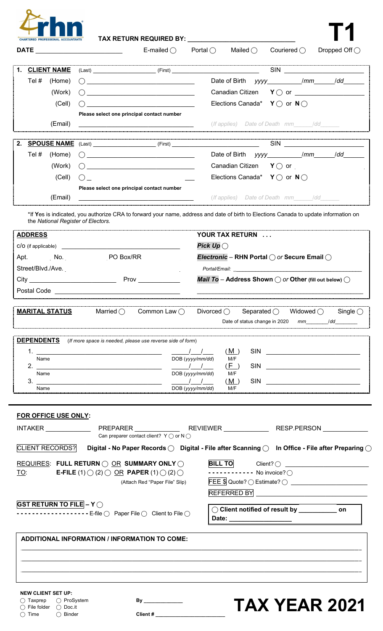

| AX RETURN REQUIRED BY: |  |
|------------------------|--|
|------------------------|--|

**TAX RETURN REQUIRED BY: \_\_\_\_\_\_\_\_\_\_\_\_\_\_\_\_\_\_\_\_\_\_\_\_\_\_\_\_\_\_\_ T1**

| <b>DATE</b>    |                                                |                                                                                                                                                                                                                                                 |                                                                                                                                                                                                                                                                                      |
|----------------|------------------------------------------------|-------------------------------------------------------------------------------------------------------------------------------------------------------------------------------------------------------------------------------------------------|--------------------------------------------------------------------------------------------------------------------------------------------------------------------------------------------------------------------------------------------------------------------------------------|
| 1.             | <b>CLIENT NAME</b>                             |                                                                                                                                                                                                                                                 | SIN                                                                                                                                                                                                                                                                                  |
| Tel #          | (Home)                                         | ( )                                                                                                                                                                                                                                             | Date of Birth yyyy_____________/mm_______/dd________                                                                                                                                                                                                                                 |
|                | (Work)                                         |                                                                                                                                                                                                                                                 | Canadian Citizen<br>$\mathsf{Y}\bigcirc$ or                                                                                                                                                                                                                                          |
|                | (Cell)                                         |                                                                                                                                                                                                                                                 | Elections Canada* $Y \cap$ or $N \cap$                                                                                                                                                                                                                                               |
|                |                                                | Please select one principal contact number                                                                                                                                                                                                      |                                                                                                                                                                                                                                                                                      |
|                | (Email)                                        | <u> 2000 - Paris Paris III, prima politik eta provincia eta prima provincia eta provincia eta provincia eta provin</u>                                                                                                                          | (If applies) Date of Death mm /dd                                                                                                                                                                                                                                                    |
| 2.             |                                                | <b>SPOUSE NAME</b> (Last) ______________________(First) _______________________________                                                                                                                                                         | SIN                                                                                                                                                                                                                                                                                  |
| Tel #          | (Home)                                         |                                                                                                                                                                                                                                                 |                                                                                                                                                                                                                                                                                      |
|                | (Work)                                         |                                                                                                                                                                                                                                                 | Canadian Citizen $Y \bigcirc$ or $\qquad \qquad \qquad$                                                                                                                                                                                                                              |
|                | (Cell)                                         | <u> 1989 - Paris Paris II, martin a film an t-Afrika an t-Afrika an t-Afrika an t-Afrika an t-Afrika an t-Afrika a</u>                                                                                                                          | Elections Canada* $Y \bigcirc$ or $N \bigcirc$                                                                                                                                                                                                                                       |
|                |                                                | Please select one principal contact number                                                                                                                                                                                                      |                                                                                                                                                                                                                                                                                      |
|                | (Email)                                        |                                                                                                                                                                                                                                                 | (If applies) Date of Death mm /dd                                                                                                                                                                                                                                                    |
|                |                                                | the National Register of Electors.                                                                                                                                                                                                              | *If Yes is indicated, you authorize CRA to forward your name, address and date of birth to Elections Canada to update information on<br>YOUR TAX RETURN                                                                                                                              |
| <b>ADDRESS</b> |                                                |                                                                                                                                                                                                                                                 | Pick Up $\bigcirc$                                                                                                                                                                                                                                                                   |
|                |                                                | Apt. No. No. No. No. No. No. 2012 No. 2013                                                                                                                                                                                                      | <i>Electronic</i> – RHN Portal $\bigcirc$ or Secure Email $\bigcirc$                                                                                                                                                                                                                 |
|                |                                                |                                                                                                                                                                                                                                                 |                                                                                                                                                                                                                                                                                      |
|                |                                                |                                                                                                                                                                                                                                                 |                                                                                                                                                                                                                                                                                      |
|                |                                                |                                                                                                                                                                                                                                                 |                                                                                                                                                                                                                                                                                      |
|                | <b>MARITAL STATUS</b>                          | Married $\bigcirc$<br>Common Law $\bigcap$                                                                                                                                                                                                      | Mail To - Address Shown $\bigcirc$ or Other (fill out below) $\bigcirc$<br>Divorced $\bigcirc$<br>Separated $\bigcirc$<br>Widowed $\bigcirc$<br>Date of status change in 2020                                                                                                        |
| Name<br>Name   |                                                | <b>DEPENDENTS</b> (If more space is needed, please use reverse side of form)<br>DOB (yyyy/mm/dd)                                                                                                                                                | (M)<br>M/F<br>(F)<br><b>SIN</b><br>$\frac{1}{\sqrt{2}}$<br>DOB (yyyy/mm/dd) M/F                                                                                                                                                                                                      |
| Name           |                                                | DOB (yyyy/mm/dd)                                                                                                                                                                                                                                | SIN<br>(M)<br>M/F                                                                                                                                                                                                                                                                    |
|                | FOR OFFICE USE ONLY:<br><b>CLIENT RECORDS?</b> | Can preparer contact client? $Y \cap$ or $N \cap$<br>REQUIRES: FULL RETURN $\bigcirc$ or summary only $\bigcirc$<br><b>E-FILE</b> (1) $\bigcirc$ (2) $\bigcirc$ OR <b>PAPER</b> (1) $\bigcirc$ (2) $\bigcirc$<br>(Attach Red "Paper File" Slip) | ---------- No invoice? $\bigcirc$                                                                                                                                                                                                                                                    |
|                | <b>GST RETURN TO FILE - Y</b> $\bigcirc$       | - - - - - - - - - - - - - - - - E-file $\bigcirc$ Paper File $\bigcirc$ Client to File $\bigcirc$                                                                                                                                               | $\bigcirc$ Client notified of result by $\_\_\_\_\_\_\_\_$ on                                                                                                                                                                                                                        |
| TO:            |                                                | <b>ADDITIONAL INFORMATION / INFORMATION TO COME:</b>                                                                                                                                                                                            | Single $\bigcirc$<br>mm /dd<br>INTAKER ________________PREPARER ________________REVIEWER _______________RESP.PERSON _____________<br>Digital - No Paper Records $\bigcirc$ Digital - File after Scanning $\bigcirc$ In Office - File after Preparing $\bigcirc$<br>BILL TO Client? O |

**NEW CLIENT SET UP:**

 $\bigcirc$  File folder  $\bigcirc$  Doc.it ◯ Time ◯ Binder **Client # \_\_\_\_\_\_\_\_\_\_\_\_\_\_\_\_\_\_\_\_\_**\_\_\_

**By \_\_\_\_\_\_\_\_\_\_\_\_\_\_ TAX YEAR 2021** ⃝ Taxprep ⃝ ProSystem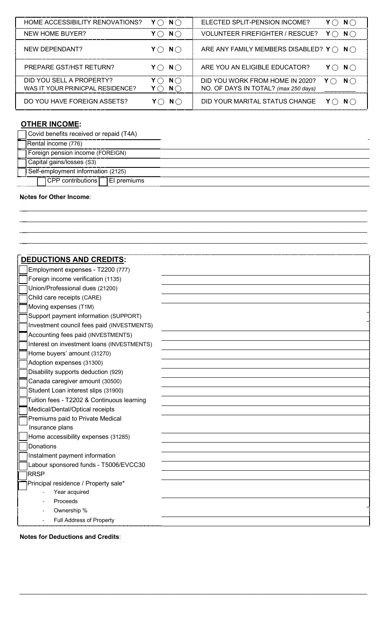| HOME ACCESSIBILITY RENOVATIONS?                              | $N \cap$<br>Y()         | ELECTED SPLIT-PENSION INCOME?<br>$N$ $\cap$                                           |
|--------------------------------------------------------------|-------------------------|---------------------------------------------------------------------------------------|
| NEW HOME BUYER?                                              | $N \bigcap$             | <b>VOLUNTEER FIREFIGHTER / RESCUE?</b><br>$N$ $\cap$                                  |
| NEW DEPENDANT?                                               | $Y \cap N \cap$         | ARE ANY FAMILY MEMBERS DISABLED? $Y \cap N$                                           |
| PREPARE GST/HST RETURN?                                      | $Y \cap N \cap$         | ARE YOU AN ELIGIBLE EDUCATOR?<br>N()                                                  |
| DID YOU SELL A PROPERTY?<br>WAS IT YOUR PRINICPAL RESIDENCE? | $N \bigcap$<br>$N \cap$ | DID YOU WORK FROM HOME IN 2020?<br>$N$ $\cap$<br>NO. OF DAYS IN TOTAL? (max 250 days) |
| DO YOU HAVE FOREIGN ASSETS?                                  | $N($ )                  | DID YOUR MARITAL STATUS CHANGE                                                        |

# **OTHER INCOME:**

| Covid benefits received or repaid (T4A)     |  |  |
|---------------------------------------------|--|--|
| <b>Rental income (776)</b>                  |  |  |
| Foreign pension income (FOREIGN)            |  |  |
| Capital gains/losses (S3)                   |  |  |
| Self-employment information (2125)          |  |  |
| $\Box$ CPP contributions $\Box$ EI premiums |  |  |

 $\mathcal{L}_\mathcal{L}$  and the contribution of the contribution of the contribution of the contribution of the contribution of the contribution of the contribution of the contribution of the contribution of the contribution of th  $\overline{\phantom{a}}$  , and the state of the state of the state of the state of the state of the state of the state of the state of the state of the state of the state of the state of the state of the state of the state of the stat  $\mathcal{L}_\mathcal{L}$  and the state of the state of the state of the state of the state of the state of the state of the state of the state of the state of the state of the state of the state of the state of the state of the sta  $\mathcal{L}_\text{max}$  , and the contribution of the contribution of the contribution of the contribution of the contribution of the contribution of the contribution of the contribution of the contribution of the contribution of t

## **Notes for Other Income**:

| <b>DEDUCTIONS AND CREDITS:</b>             |  |
|--------------------------------------------|--|
| Employment expenses - T2200 (777)          |  |
| Foreign income verification (1135)         |  |
| Union/Professional dues (21200)            |  |
| Child care receipts (CARE)                 |  |
| Moving expenses (T1M)                      |  |
| Support payment information (SUPPORT)      |  |
| Investment council fees paid (INVESTMENTS) |  |
| Accounting fees paid (INVESTMENTS)         |  |
| Interest on investment loans (INVESTMENTS) |  |
| Home buyers' amount (31270)                |  |
| Adoption expenses (31300)                  |  |
| Disability supports deduction (929)        |  |
| Canada caregiver amount (30500)            |  |
| Student Loan interest slips (31900)        |  |
| Tuition fees - T2202 & Continuous learning |  |
| Medical/Dental/Optical receipts            |  |
| Premiums paid to Private Medical           |  |
| Insurance plans                            |  |
| Home accessibility expenses (31285)        |  |
| Donations                                  |  |
| Instalment payment information             |  |
| Labour sponsored funds - T5006/EVCC30      |  |
| <b>RRSP</b>                                |  |
| Principal residence / Property sale*       |  |
| Year acquired                              |  |
| Proceeds                                   |  |
| Ownership %                                |  |
| Full Address of Property                   |  |

 $\mathcal{L}_\mathcal{L} = \mathcal{L}_\mathcal{L} = \mathcal{L}_\mathcal{L} = \mathcal{L}_\mathcal{L} = \mathcal{L}_\mathcal{L} = \mathcal{L}_\mathcal{L} = \mathcal{L}_\mathcal{L} = \mathcal{L}_\mathcal{L} = \mathcal{L}_\mathcal{L} = \mathcal{L}_\mathcal{L} = \mathcal{L}_\mathcal{L} = \mathcal{L}_\mathcal{L} = \mathcal{L}_\mathcal{L} = \mathcal{L}_\mathcal{L} = \mathcal{L}_\mathcal{L} = \mathcal{L}_\mathcal{L} = \mathcal{L}_\mathcal{L}$ 

**Notes for Deductions and Credits**: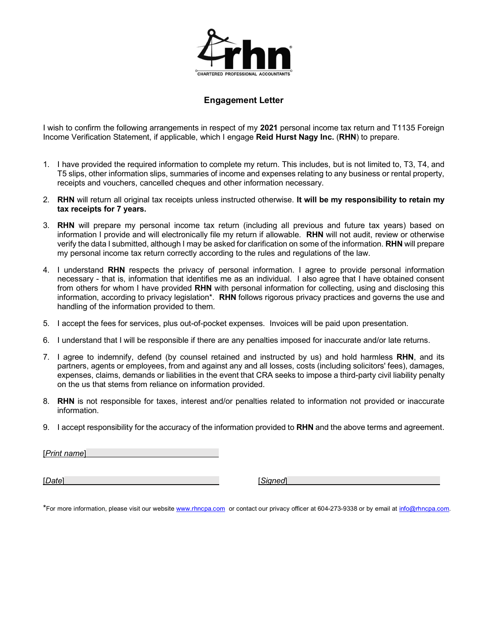

### **Engagement Letter**

I wish to confirm the following arrangements in respect of my **2021** personal income tax return and T1135 Foreign Income Verification Statement, if applicable, which I engage **Reid Hurst Nagy Inc.** (**RHN**) to prepare.

- 1. I have provided the required information to complete my return. This includes, but is not limited to, T3, T4, and T5 slips, other information slips, summaries of income and expenses relating to any business or rental property, receipts and vouchers, cancelled cheques and other information necessary.
- 2. **RHN** will return all original tax receipts unless instructed otherwise. **It will be my responsibility to retain my tax receipts for 7 years.**
- 3. **RHN** will prepare my personal income tax return (including all previous and future tax years) based on information I provide and will electronically file my return if allowable. **RHN** will not audit, review or otherwise verify the data I submitted, although I may be asked for clarification on some of the information. **RHN** will prepare my personal income tax return correctly according to the rules and regulations of the law.
- 4. I understand **RHN** respects the privacy of personal information. I agree to provide personal information necessary - that is, information that identifies me as an individual. I also agree that I have obtained consent from others for whom I have provided **RHN** with personal information for collecting, using and disclosing this information, according to privacy legislation\*. **RHN** follows rigorous privacy practices and governs the use and handling of the information provided to them.
- 5. I accept the fees for services, plus out-of-pocket expenses. Invoices will be paid upon presentation.
- 6. I understand that I will be responsible if there are any penalties imposed for inaccurate and/or late returns.
- 7. I agree to indemnify, defend (by counsel retained and instructed by us) and hold harmless **RHN**, and its partners, agents or employees, from and against any and all losses, costs (including solicitors' fees), damages, expenses, claims, demands or liabilities in the event that CRA seeks to impose a third-party civil liability penalty on the us that stems from reliance on information provided.
- 8. **RHN** is not responsible for taxes, interest and/or penalties related to information not provided or inaccurate information.
- 9. I accept responsibility for the accuracy of the information provided to **RHN** and the above terms and agreement.

[*Print name*]

[*Date*] [*Signed*]

\*For more information, please visit our website www.rhncpa.com or contact our privacy officer at 604-273-9338 or by email at info@rhncpa.com.